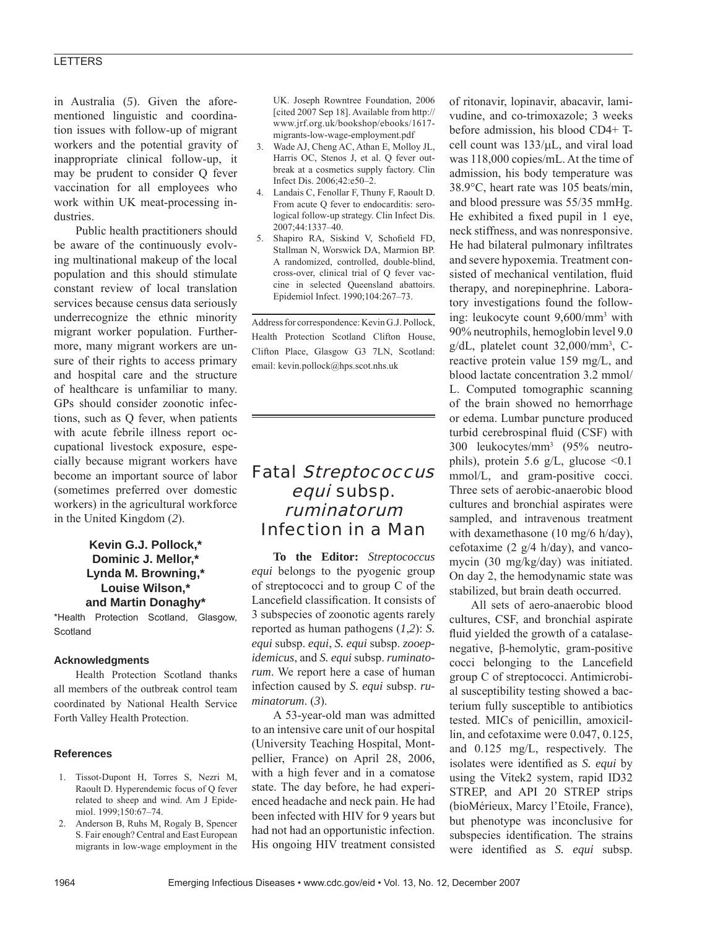## LETTERS

in Australia (*5*). Given the aforementioned linguistic and coordination issues with follow-up of migrant workers and the potential gravity of inappropriate clinical follow-up, it may be prudent to consider Q fever vaccination for all employees who work within UK meat-processing industries.

Public health practitioners should be aware of the continuously evolving multinational makeup of the local population and this should stimulate constant review of local translation services because census data seriously underrecognize the ethnic minority migrant worker population. Furthermore, many migrant workers are unsure of their rights to access primary and hospital care and the structure of healthcare is unfamiliar to many. GPs should consider zoonotic infections, such as Q fever, when patients with acute febrile illness report occupational livestock exposure, especially because migrant workers have become an important source of labor (sometimes preferred over domestic workers) in the agricultural workforce in the United Kingdom (*2*).

## **Kevin G.J. Pollock,\* Dominic J. Mellor,\* Lynda M. Browning,\* Louise Wilson,\* and Martin Donaghy\***

\*Health Protection Scotland, Glasgow, **Scotland** 

#### **Acknowledgments**

Health Protection Scotland thanks all members of the outbreak control team coordinated by National Health Service Forth Valley Health Protection.

#### **References**

- 1. Tissot-Dupont H, Torres S, Nezri M, Raoult D. Hyperendemic focus of Q fever related to sheep and wind. Am J Epidemiol. 1999;150:67–74.
- 2. Anderson B, Ruhs M, Rogaly B, Spencer S. Fair enough? Central and East European migrants in low-wage employment in the

UK. Joseph Rowntree Foundation, 2006 [cited 2007 Sep 18]. Available from http:// www.jrf.org.uk/bookshop/ebooks/1617 migrants-low-wage-employment.pdf

- 3. Wade AJ, Cheng AC, Athan E, Molloy JL, Harris OC, Stenos J, et al. Q fever outbreak at a cosmetics supply factory. Clin Infect Dis. 2006;42:e50–2.
- 4. Landais C, Fenollar F, Thuny F, Raoult D. From acute Q fever to endocarditis: serological follow-up strategy. Clin Infect Dis. 2007;44:1337–40.
- 5. Shapiro RA, Siskind V, Schofield FD, Stallman N, Worswick DA, Marmion BP. A randomized, controlled, double-blind, cross-over, clinical trial of Q fever vaccine in selected Queensland abattoirs. Epidemiol Infect. 1990;104:267–73.

Address for correspondence: Kevin G.J. Pollock, Health Protection Scotland Clifton House, Clifton Place, Glasgow G3 7LN, Scotland: email: kevin.pollock@hps.scot.nhs.uk

# Fatal Streptococcus equi subsp. ruminatorum Infection in a Man

**To the Editor:** *Streptococcus equi* belongs to the pyogenic group of streptococci and to group C of the Lancefield classification. It consists of 3 subspecies of zoonotic agents rarely reported as human pathogens (*1*,*2*): *S. equi* subsp. *equi*, *S. equi* subsp. *zooepidemicus*, and *S. equi* subsp. *ruminatorum*. We report here a case of human infection caused by *S. equi* subsp. *ruminatorum*. (*3*).

A 53-year-old man was admitted to an intensive care unit of our hospital (University Teaching Hospital, Montpellier, France) on April 28, 2006, with a high fever and in a comatose state. The day before, he had experienced headache and neck pain. He had been infected with HIV for 9 years but had not had an opportunistic infection. His ongoing HIV treatment consisted

of ritonavir, lopinavir, abacavir, lamivudine, and co-trimoxazole; 3 weeks before admission, his blood CD4+ Tcell count was 133/μL, and viral load was 118,000 copies/mL. At the time of admission, his body temperature was 38.9°C, heart rate was 105 beats/min, and blood pressure was 55/35 mmHg. He exhibited a fixed pupil in 1 eye, neck stiffness, and was nonresponsive. He had bilateral pulmonary infiltrates and severe hypoxemia. Treatment consisted of mechanical ventilation, fluid therapy, and norepinephrine. Laboratory investigations found the following: leukocyte count 9,600/mm3 with 90% neutrophils, hemoglobin level 9.0 g/dL, platelet count 32,000/mm3 , Creactive protein value 159 mg/L, and blood lactate concentration 3.2 mmol/ L. Computed tomographic scanning of the brain showed no hemorrhage or edema. Lumbar puncture produced turbid cerebrospinal fluid (CSF) with 300 leukocytes/mm3 (95% neutrophils), protein 5.6 g/L, glucose  $\leq 0.1$ mmol/L, and gram-positive cocci. Three sets of aerobic-anaerobic blood cultures and bronchial aspirates were sampled, and intravenous treatment with dexamethasone (10 mg/6 h/day), cefotaxime  $(2 \frac{g}{4} h/day)$ , and vancomycin (30 mg/kg/day) was initiated. On day 2, the hemodynamic state was stabilized, but brain death occurred.

All sets of aero-anaerobic blood cultures, CSF, and bronchial aspirate fluid yielded the growth of a catalasenegative, β-hemolytic, gram-positive cocci belonging to the Lancefield group C of streptococci. Antimicrobial susceptibility testing showed a bacterium fully susceptible to antibiotics tested. MICs of penicillin, amoxicillin, and cefotaxime were 0.047, 0.125, and 0.125 mg/L, respectively. The isolates were identified as *S. equi* by using the Vitek2 system, rapid ID32 STREP, and API 20 STREP strips (bioMérieux, Marcy l'Etoile, France), but phenotype was inconclusive for subspecies identification. The strains were identified as *S. equi* subsp.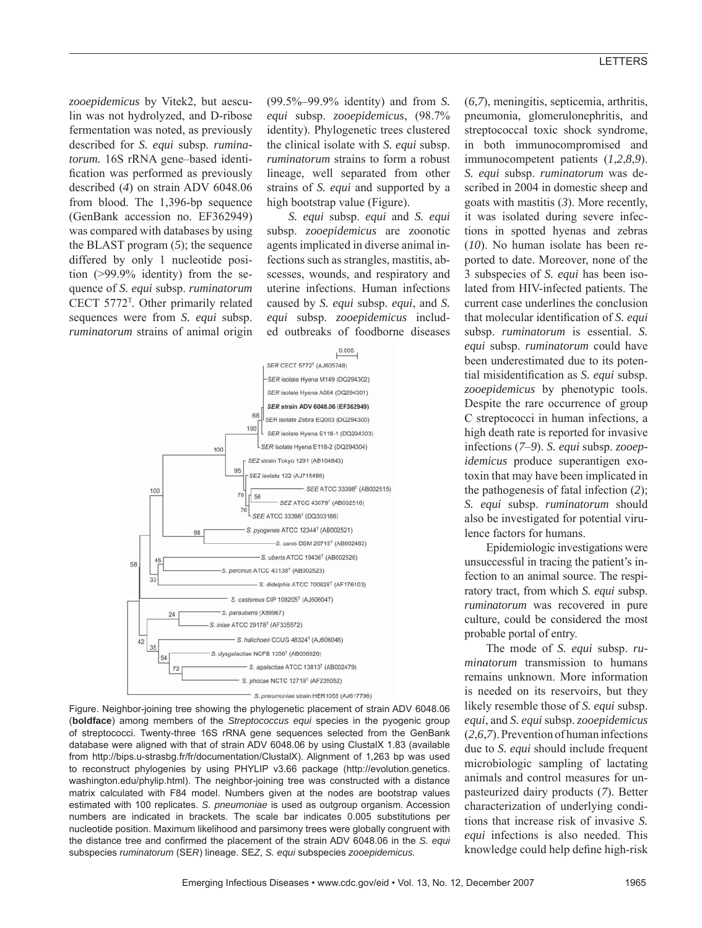*zooepidemicus* by Vitek2, but aesculin was not hydrolyzed, and D-ribose fermentation was noted, as previously described for *S. equi* subsp. *ruminatorum.* 16S rRNA gene–based identification was performed as previously described (*4*) on strain ADV 6048.06 from blood. The 1,396-bp sequence (GenBank accession no. EF362949) was compared with databases by using the BLAST program (*5*); the sequence differed by only 1 nucleotide position (>99.9% identity) from the sequence of *S. equi* subsp. *ruminatorum* CECT 5772T . Other primarily related sequences were from *S. equi* subsp. *ruminatorum* strains of animal origin

(99.5%–99.9% identity) and from *S. equi* subsp. *zooepidemicus*, (98.7% identity). Phylogenetic trees clustered the clinical isolate with *S. equi* subsp. *ruminatorum* strains to form a robust lineage, well separated from other strains of *S. equi* and supported by a high bootstrap value (Figure).

*S. equi* subsp. *equi* and *S. equi* subsp. *zooepidemicus* are zoonotic agents implicated in diverse animal infections such as strangles, mastitis, abscesses, wounds, and respiratory and uterine infections. Human infections caused by *S. equi* subsp. *equi*, and *S. equi* subsp. *zooepidemicus* included outbreaks of foodborne diseases





(*6*,*7*), meningitis, septicemia, arthritis, pneumonia, glomerulonephritis, and streptococcal toxic shock syndrome, in both immunocompromised and immunocompetent patients (*1*,*2*,*8*,*9*). *S. equi* subsp. *ruminatorum* was described in 2004 in domestic sheep and goats with mastitis (*3*). More recently, it was isolated during severe infections in spotted hyenas and zebras (*10*). No human isolate has been reported to date. Moreover, none of the 3 subspecies of *S. equi* has been isolated from HIV-infected patients. The current case underlines the conclusion that molecular identification of *S. equi* subsp. *ruminatorum* is essential. *S. equi* subsp. *ruminatorum* could have been underestimated due to its potential misidentification as *S. equi* subsp. *zooepidemicus* by phenotypic tools. Despite the rare occurrence of group C streptococci in human infections, a high death rate is reported for invasive infections (*7*–*9*). *S. equi* subsp. *zooepidemicus* produce superantigen exotoxin that may have been implicated in the pathogenesis of fatal infection (*2*); *S. equi* subsp. *ruminatorum* should also be investigated for potential virulence factors for humans.

Epidemiologic investigations were unsuccessful in tracing the patient's infection to an animal source. The respiratory tract, from which *S. equi* subsp. *ruminatorum* was recovered in pure culture, could be considered the most probable portal of entry.

The mode of *S. equi* subsp. *ruminatorum* transmission to humans remains unknown. More information is needed on its reservoirs, but they likely resemble those of *S. equi* subsp. *equi*, and *S. equi* subsp. *zooepidemicus* (*2*,*6*,*7*). Prevention of human infections due to *S. equi* should include frequent microbiologic sampling of lactating animals and control measures for unpasteurized dairy products (*7*). Better characterization of underlying conditions that increase risk of invasive *S. equi* infections is also needed. This knowledge could help define high-risk